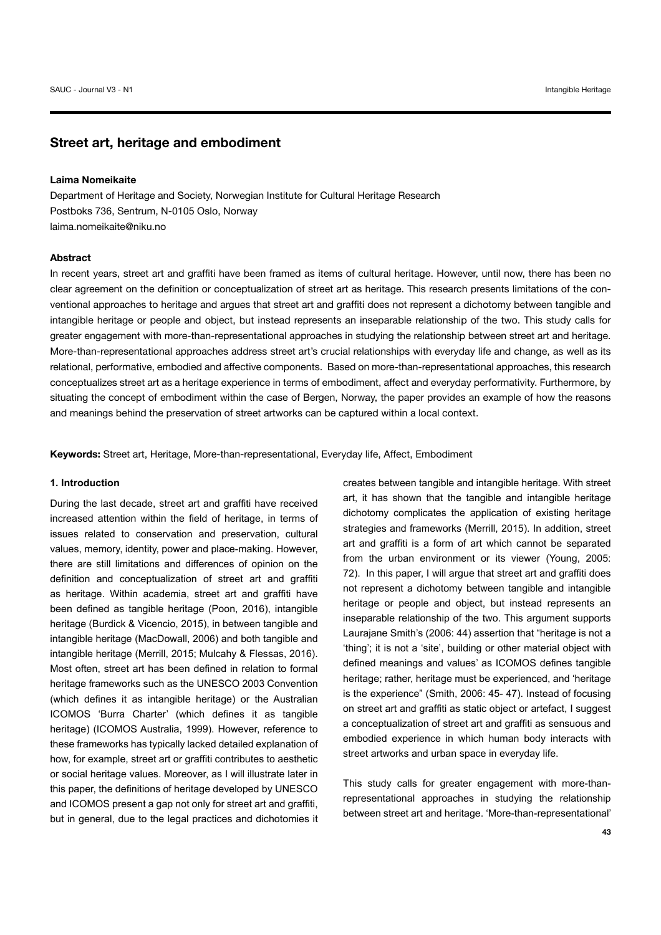# Street art, heritage and embodiment

## **Laima Nomeikaite**

Department of Heritage and Society, Norwegian Institute for Cultural Heritage Research Postboks 736, Sentrum, N-0105 Oslo, Norway laima.nomeikaite@niku.no

#### **Abstract**

In recent years, street art and graffiti have been framed as items of cultural heritage. However, until now, there has been no clear agreement on the definition or conceptualization of street art as heritage. This research presents limitations of the conventional approaches to heritage and argues that street art and graffiti does not represent a dichotomy between tangible and intangible heritage or people and object, but instead represents an inseparable relationship of the two. This study calls for greater engagement with more-than-representational approaches in studying the relationship between street art and heritage. More-than-representational approaches address street art's crucial relationships with everyday life and change, as well as its relational, performative, embodied and affective components. Based on more-than-representational approaches, this research conceptualizes street art as a heritage experience in terms of embodiment, affect and everyday performativity. Furthermore, by situating the concept of embodiment within the case of Bergen, Norway, the paper provides an example of how the reasons and meanings behind the preservation of street artworks can be captured within a local context.

Keywords: Street art, Heritage, More-than-representational, Everyday life, Affect, Embodiment

## 1. Introduction

During the last decade, street art and graffiti have received increased attention within the field of heritage, in terms of issues related to conservation and preservation, cultural values, memory, identity, power and place-making, However, there are still limitations and differences of opinion on the definition and conceptualization of street art and graffiti as heritage. Within academia, street art and graffiti have been defined as tangible heritage (Poon, 2016), intangible heritage (Burdick & Vicencio, 2015), in between tangible and intangible heritage (MacDowall, 2006) and both tangible and intangible heritage (Merrill, 2015; Mulcahy & Flessas, 2016). Most often, street art has been defined in relation to formal heritage frameworks such as the UNESCO 2003 Convention (which defines it as intangible heritage) or the Australian ICOMOS 'Burra Charter' (which defines it as tangible heritage) (ICOMOS Australia, 1999). However, reference to these frameworks has typically lacked detailed explanation of how, for example, street art or graffiti contributes to aesthetic or social heritage values. Moreover, as I will illustrate later in this paper, the definitions of heritage developed by UNESCO and ICOMOS present a gap not only for street art and graffiti, but in general, due to the legal practices and dichotomies it creates between tangible and intangible heritage. With street art, it has shown that the tangible and intangible heritage dichotomy complicates the application of existing heritage strategies and frameworks (Merrill, 2015). In addition, street art and graffiti is a form of art which cannot be separated from the urban environment or its viewer (Young, 2005: 72). In this paper, I will argue that street art and graffiti does not represent a dichotomy between tangible and intangible heritage or people and object, but instead represents an inseparable relationship of the two. This argument supports Laurajane Smith's (2006: 44) assertion that "heritage is not a 'thing'; it is not a 'site', building or other material object with defined meanings and values' as ICOMOS defines tangible heritage; rather, heritage must be experienced, and 'heritage is the experience" (Smith, 2006: 45-47). Instead of focusing on street art and graffiti as static object or artefact, I suggest a conceptualization of street art and graffiti as sensuous and embodied experience in which human body interacts with street artworks and urban space in everyday life.

This study calls for greater engagement with more-thanrepresentational approaches in studving the relationship between street art and heritage. 'More-than-representational'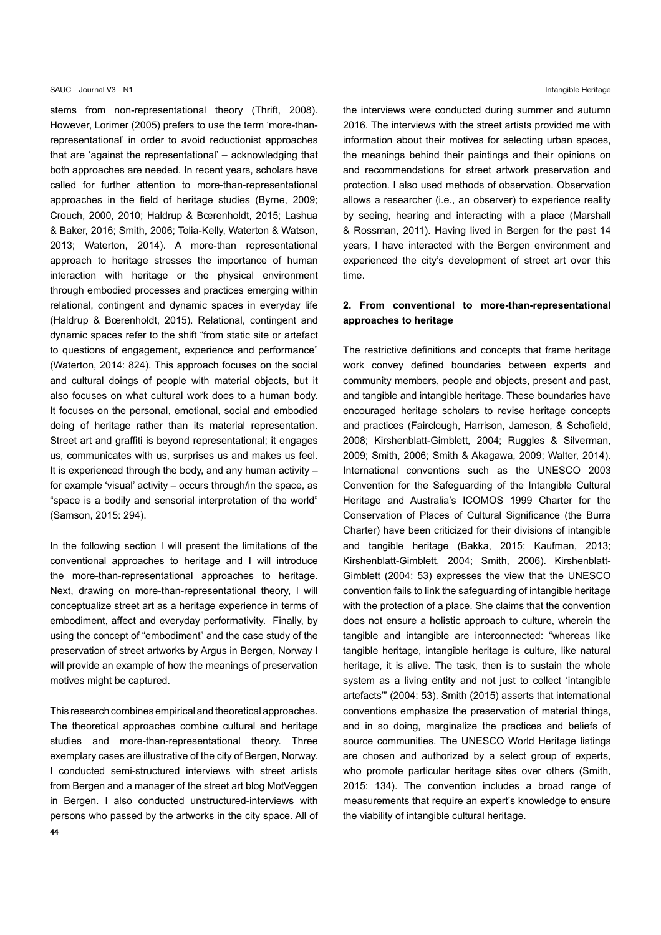stems from non-representational theory (Thrift, 2008). However, Lorimer (2005) prefers to use the term 'more-thanrepresentational' in order to avoid reductionist approaches that are 'against the representational' - acknowledging that both approaches are needed. In recent years, scholars have called for further attention to more-than-representational approaches in the field of heritage studies (Byrne, 2009; Crouch, 2000, 2010; Haldrup & Bœrenholdt, 2015; Lashua & Baker, 2016; Smith, 2006; Tolia-Kelly, Waterton & Watson, 2013; Waterton, 2014). A more-than representational approach to heritage stresses the importance of human interaction with heritage or the physical environment through embodied processes and practices emerging within relational, contingent and dynamic spaces in everyday life (Haldrup & Bœrenholdt, 2015). Relational, contingent and dynamic spaces refer to the shift "from static site or artefact to questions of engagement, experience and performance" (Waterton, 2014: 824). This approach focuses on the social and cultural doings of people with material objects, but it also focuses on what cultural work does to a human body. It focuses on the personal, emotional, social and embodied doing of heritage rather than its material representation. Street art and graffiti is beyond representational; it engages us, communicates with us, surprises us and makes us feel. It is experienced through the body, and any human activity  $$ for example 'visual' activity – occurs through/in the space, as "space is a bodily and sensorial interpretation of the world" (Samson, 2015: 294).

In the following section I will present the limitations of the conventional approaches to heritage and I will introduce the more-than-representational approaches to heritage. Next, drawing on more-than-representational theory, I will conceptualize street art as a heritage experience in terms of embodiment, affect and everyday performativity. Finally, by using the concept of "embodiment" and the case study of the preservation of street artworks by Argus in Bergen, Norway I will provide an example of how the meanings of preservation motives might be captured.

This research combines empirical and theoretical approaches. The theoretical approaches combine cultural and heritage studies and more-than-representational theory. Three exemplary cases are illustrative of the city of Bergen, Norway. I conducted semi-structured interviews with street artists from Bergen and a manager of the street art blog MotVeggen in Bergen. I also conducted unstructured-interviews with persons who passed by the artworks in the city space. All of the interviews were conducted during summer and autumn 2016. The interviews with the street artists provided me with information about their motives for selecting urban spaces, the meanings behind their paintings and their opinions on and recommendations for street artwork preservation and protection. I also used methods of observation. Observation allows a researcher (i.e., an observer) to experience reality by seeing, hearing and interacting with a place (Marshall & Rossman, 2011). Having lived in Bergen for the past 14 years. I have interacted with the Bergen environment and experienced the city's development of street art over this time.

# 2. From conventional to more-than-representational approaches to heritage

The restrictive definitions and concepts that frame heritage work convey defined boundaries between experts and community members, people and objects, present and past, and tangible and intangible heritage. These boundaries have encouraged heritage scholars to revise heritage concepts and practices (Fairclough, Harrison, Jameson, & Schofield, 2008; Kirshenblatt-Gimblett, 2004; Ruggles & Silverman, 2009; Smith, 2006; Smith & Akagawa, 2009; Walter, 2014). International conventions such as the UNESCO 2003 Convention for the Safeguarding of the Intangible Cultural Heritage and Australia's ICOMOS 1999 Charter for the Conservation of Places of Cultural Significance (the Burra Charter) have been criticized for their divisions of intangible and tangible heritage (Bakka, 2015; Kaufman, 2013; Kirshenblatt-Gimblett, 2004; Smith, 2006). Kirshenblatt-Gimblett (2004: 53) expresses the view that the UNESCO convention fails to link the safeguarding of intangible heritage with the protection of a place. She claims that the convention does not ensure a holistic approach to culture, wherein the tangible and intangible are interconnected: "whereas like tangible heritage, intangible heritage is culture, like natural heritage, it is alive. The task, then is to sustain the whole system as a living entity and not just to collect 'intangible artefacts" (2004: 53). Smith (2015) asserts that international conventions emphasize the preservation of material things, and in so doing, marginalize the practices and beliefs of source communities. The UNESCO World Heritage listings are chosen and authorized by a select group of experts, who promote particular heritage sites over others (Smith, 2015: 134). The convention includes a broad range of measurements that require an expert's knowledge to ensure the viability of intangible cultural heritage.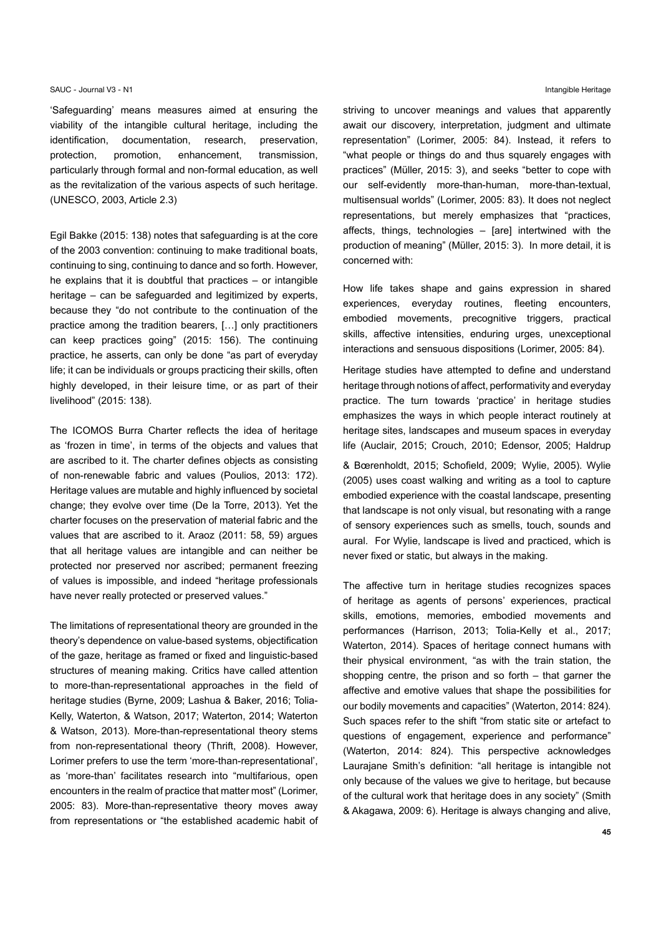'Safeguarding' means measures aimed at ensuring the viability of the intangible cultural heritage, including the identification, documentation, research, preservation, protection, promotion, enhancement, transmission, particularly through formal and non-formal education, as well as the revitalization of the various aspects of such heritage. (UNESCO, 2003, Article 2.3)

Egil Bakke (2015: 138) notes that safeguarding is at the core of the 2003 convention: continuing to make traditional boats, continuing to sing, continuing to dance and so forth. However, he explains that it is doubtful that practices  $-$  or intangible heritage - can be safeguarded and legitimized by experts, because they "do not contribute to the continuation of the practice among the tradition bearers, [...] only practitioners can keep practices going" (2015: 156). The continuing practice, he asserts, can only be done "as part of everyday life; it can be individuals or groups practicing their skills, often highly developed, in their leisure time, or as part of their livelihood" (2015: 138).

The ICOMOS Burra Charter reflects the idea of heritage as 'frozen in time', in terms of the objects and values that are ascribed to it. The charter defines objects as consisting of non-renewable fabric and values (Poulios, 2013: 172). Heritage values are mutable and highly influenced by societal change; they evolve over time (De la Torre, 2013). Yet the charter focuses on the preservation of material fabric and the values that are ascribed to it. Araoz (2011: 58, 59) argues that all heritage values are intangible and can neither be protected nor preserved nor ascribed; permanent freezing of values is impossible, and indeed "heritage professionals have never really protected or preserved values."

The limitations of representational theory are grounded in the theory's dependence on value-based systems, objectification of the gaze, heritage as framed or fixed and linguistic-based structures of meaning making. Critics have called attention to more-than-representational approaches in the field of heritage studies (Byrne, 2009; Lashua & Baker, 2016; Tolia-Kelly, Waterton, & Watson, 2017; Waterton, 2014; Waterton & Watson, 2013). More-than-representational theory stems from non-representational theory (Thrift, 2008). However, Lorimer prefers to use the term 'more-than-representational'. as 'more-than' facilitates research into "multifarious, open encounters in the realm of practice that matter most" (Lorimer, 2005: 83). More-than-representative theory moves away from representations or "the established academic habit of

#### Intangible Heritage

striving to uncover meanings and values that apparently await our discovery, interpretation, judgment and ultimate representation" (Lorimer, 2005: 84). Instead, it refers to "what people or things do and thus squarely engages with practices" (Müller, 2015: 3), and seeks "better to cope with our self-evidently more-than-human, more-than-textual, multisensual worlds" (Lorimer, 2005: 83). It does not neglect representations, but merely emphasizes that "practices, affects, things, technologies - [are] intertwined with the production of meaning" (Müller, 2015: 3). In more detail, it is concerned with:

How life takes shape and gains expression in shared experiences, everyday routines, fleeting encounters, embodied movements, precognitive triggers, practical skills, affective intensities, enduring urges, unexceptional interactions and sensuous dispositions (Lorimer, 2005: 84).

Heritage studies have attempted to define and understand heritage through notions of affect, performativity and everyday practice. The turn towards 'practice' in heritage studies emphasizes the ways in which people interact routinely at heritage sites, landscapes and museum spaces in everyday life (Auclair, 2015; Crouch, 2010; Edensor, 2005; Haldrup

& Bœrenholdt, 2015; Schofield, 2009; Wylie, 2005). Wylie (2005) uses coast walking and writing as a tool to capture embodied experience with the coastal landscape, presenting that landscape is not only visual, but resonating with a range of sensory experiences such as smells, touch, sounds and aural. For Wylie, landscape is lived and practiced, which is never fixed or static, but always in the making.

The affective turn in heritage studies recognizes spaces of heritage as agents of persons' experiences, practical skills, emotions, memories, embodied movements and performances (Harrison, 2013; Tolia-Kelly et al., 2017; Waterton, 2014). Spaces of heritage connect humans with their physical environment, "as with the train station, the shopping centre, the prison and so forth  $-$  that garner the affective and emotive values that shape the possibilities for our bodily movements and capacities" (Waterton, 2014: 824). Such spaces refer to the shift "from static site or artefact to questions of engagement, experience and performance" (Waterton, 2014: 824). This perspective acknowledges Laurajane Smith's definition: "all heritage is intangible not only because of the values we give to heritage, but because of the cultural work that heritage does in any society" (Smith & Akagawa, 2009; 6). Heritage is always changing and alive.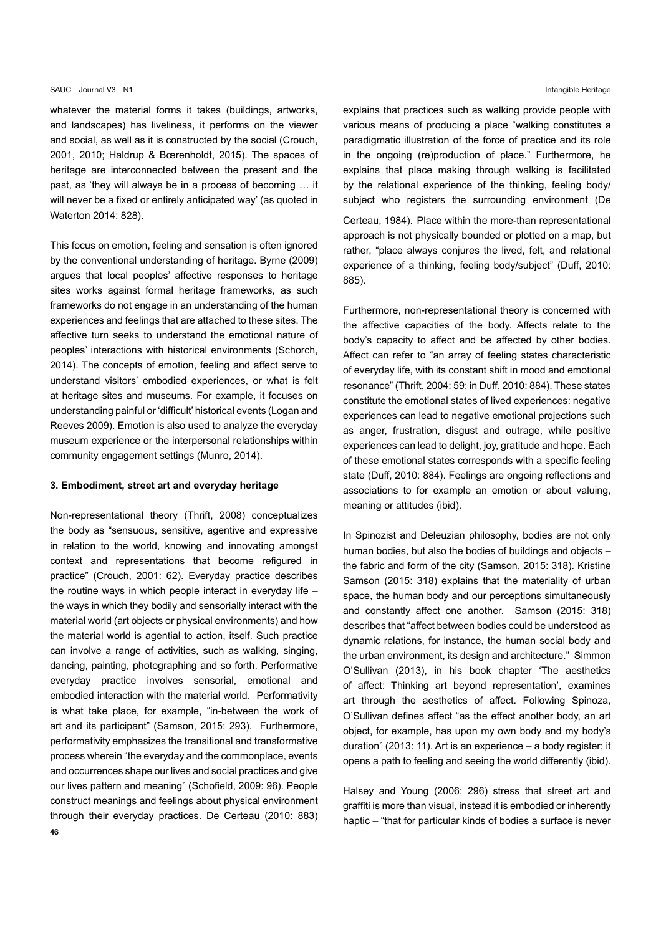whatever the material forms it takes (buildings, artworks, and landscapes) has liveliness, it performs on the viewer and social, as well as it is constructed by the social (Crouch, 2001, 2010; Haldrup & Bœrenholdt, 2015). The spaces of heritage are interconnected between the present and the past, as 'they will always be in a process of becoming ... it will never be a fixed or entirely anticipated way' (as quoted in Waterton 2014: 828).

This focus on emotion, feeling and sensation is often ignored by the conventional understanding of heritage. Byrne (2009) argues that local peoples' affective responses to heritage sites works against formal heritage frameworks, as such frameworks do not engage in an understanding of the human experiences and feelings that are attached to these sites. The affective turn seeks to understand the emotional nature of peoples' interactions with historical environments (Schorch, 2014). The concepts of emotion, feeling and affect serve to understand visitors' embodied experiences, or what is felt at heritage sites and museums. For example, it focuses on understanding painful or 'difficult' historical events (Logan and Reeves 2009). Emotion is also used to analyze the everyday museum experience or the interpersonal relationships within community engagement settings (Munro, 2014).

### 3. Embodiment, street art and everyday heritage

Non-representational theory (Thrift, 2008) conceptualizes the body as "sensuous, sensitive, agentive and expressive in relation to the world, knowing and innovating amongst context and representations that become refigured in practice" (Crouch, 2001: 62). Everyday practice describes the routine ways in which people interact in everyday life  $$ the ways in which they bodily and sensorially interact with the material world (art objects or physical environments) and how the material world is agential to action, itself. Such practice can involve a range of activities, such as walking, singing, dancing, painting, photographing and so forth. Performative everyday practice involves sensorial, emotional and embodied interaction with the material world. Performativity is what take place, for example, "in-between the work of art and its participant" (Samson, 2015: 293). Furthermore, performativity emphasizes the transitional and transformative process wherein "the everyday and the commonplace, events and occurrences shape our lives and social practices and give our lives pattern and meaning" (Schofield, 2009: 96). People construct meanings and feelings about physical environment through their everyday practices. De Certeau (2010: 883)

explains that practices such as walking provide people with various means of producing a place "walking constitutes a paradigmatic illustration of the force of practice and its role in the ongoing (re)production of place." Furthermore, he explains that place making through walking is facilitated by the relational experience of the thinking, feeling body/ subject who registers the surrounding environment (De Certeau, 1984). Place within the more-than representational approach is not physically bounded or plotted on a map, but rather, "place always conjures the lived, felt, and relational experience of a thinking, feeling body/subject" (Duff, 2010: 885).

Furthermore, non-representational theory is concerned with the affective capacities of the body. Affects relate to the body's capacity to affect and be affected by other bodies. Affect can refer to "an array of feeling states characteristic of everyday life, with its constant shift in mood and emotional resonance" (Thrift, 2004: 59; in Duff, 2010: 884). These states constitute the emotional states of lived experiences: negative experiences can lead to negative emotional projections such as anger, frustration, disgust and outrage, while positive experiences can lead to delight, joy, gratitude and hope. Each of these emotional states corresponds with a specific feeling state (Duff, 2010: 884). Feelings are ongoing reflections and associations to for example an emotion or about valuing, meaning or attitudes (ibid).

In Spinozist and Deleuzian philosophy, bodies are not only human bodies, but also the bodies of buildings and objects the fabric and form of the city (Samson, 2015: 318). Kristine Samson (2015: 318) explains that the materiality of urban space, the human body and our perceptions simultaneously and constantly affect one another. Samson (2015: 318) describes that "affect between bodies could be understood as dynamic relations, for instance, the human social body and the urban environment, its design and architecture." Simmon O'Sullivan (2013), in his book chapter 'The aesthetics of affect: Thinking art beyond representation', examines art through the aesthetics of affect. Following Spinoza, O'Sullivan defines affect "as the effect another body, an art object, for example, has upon my own body and my body's duration" (2013: 11). Art is an experience - a body register; it opens a path to feeling and seeing the world differently (ibid).

Halsey and Young (2006: 296) stress that street art and graffiti is more than visual, instead it is embodied or inherently haptic – "that for particular kinds of bodies a surface is never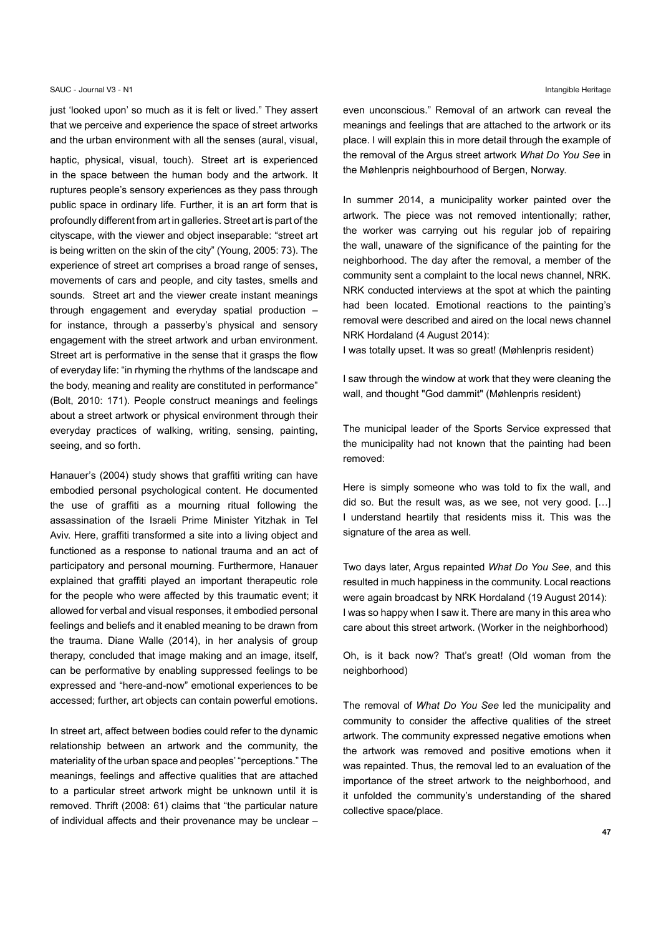just 'looked upon' so much as it is felt or lived." They assert that we perceive and experience the space of street artworks and the urban environment with all the senses (aural, visual,

haptic, physical, visual, touch). Street art is experienced in the space between the human body and the artwork. It ruptures people's sensory experiences as they pass through public space in ordinary life. Further, it is an art form that is profoundly different from art in galleries. Street art is part of the cityscape, with the viewer and object inseparable: "street art is being written on the skin of the city" (Young, 2005: 73). The experience of street art comprises a broad range of senses, movements of cars and people, and city tastes, smells and sounds. Street art and the viewer create instant meanings through engagement and everyday spatial production for instance, through a passerby's physical and sensory engagement with the street artwork and urban environment. Street art is performative in the sense that it grasps the flow of everyday life: "in rhyming the rhythms of the landscape and the body, meaning and reality are constituted in performance" (Bolt, 2010: 171). People construct meanings and feelings about a street artwork or physical environment through their everyday practices of walking, writing, sensing, painting, seeing, and so forth.

Hanauer's (2004) study shows that graffiti writing can have embodied personal psychological content. He documented the use of graffiti as a mourning ritual following the assassination of the Israeli Prime Minister Yitzhak in Tel Aviv. Here, graffiti transformed a site into a living object and functioned as a response to national trauma and an act of participatory and personal mourning. Furthermore, Hanauer explained that graffiti played an important therapeutic role for the people who were affected by this traumatic event; it allowed for verbal and visual responses, it embodied personal feelings and beliefs and it enabled meaning to be drawn from the trauma. Diane Walle (2014), in her analysis of group therapy, concluded that image making and an image, itself, can be performative by enabling suppressed feelings to be expressed and "here-and-now" emotional experiences to be accessed; further, art objects can contain powerful emotions.

In street art, affect between bodies could refer to the dynamic relationship between an artwork and the community, the materiality of the urban space and peoples' "perceptions." The meanings, feelings and affective qualities that are attached to a particular street artwork might be unknown until it is removed. Thrift (2008: 61) claims that "the particular nature of individual affects and their provenance may be unclear -

even unconscious." Removal of an artwork can reveal the meanings and feelings that are attached to the artwork or its place. I will explain this in more detail through the example of the removal of the Argus street artwork What Do You See in the Møhlenpris neighbourhood of Bergen, Norway.

In summer 2014, a municipality worker painted over the artwork. The piece was not removed intentionally; rather, the worker was carrying out his regular job of repairing the wall, unaware of the significance of the painting for the neighborhood. The day after the removal, a member of the community sent a complaint to the local news channel, NRK. NRK conducted interviews at the spot at which the painting had been located. Emotional reactions to the painting's removal were described and aired on the local news channel NRK Hordaland (4 August 2014):

I was totally upset. It was so great! (Møhlenpris resident)

I saw through the window at work that they were cleaning the wall, and thought "God dammit" (Møhlenpris resident)

The municipal leader of the Sports Service expressed that the municipality had not known that the painting had been removed:

Here is simply someone who was told to fix the wall, and did so. But the result was, as we see, not very good. [...] I understand heartily that residents miss it. This was the signature of the area as well.

Two days later, Argus repainted What Do You See, and this resulted in much happiness in the community. Local reactions were again broadcast by NRK Hordaland (19 August 2014): I was so happy when I saw it. There are many in this area who care about this street artwork. (Worker in the neighborhood)

Oh, is it back now? That's great! (Old woman from the neighborhood)

The removal of What Do You See led the municipality and community to consider the affective qualities of the street artwork. The community expressed negative emotions when the artwork was removed and positive emotions when it was repainted. Thus, the removal led to an evaluation of the importance of the street artwork to the neighborhood, and it unfolded the community's understanding of the shared collective space/place.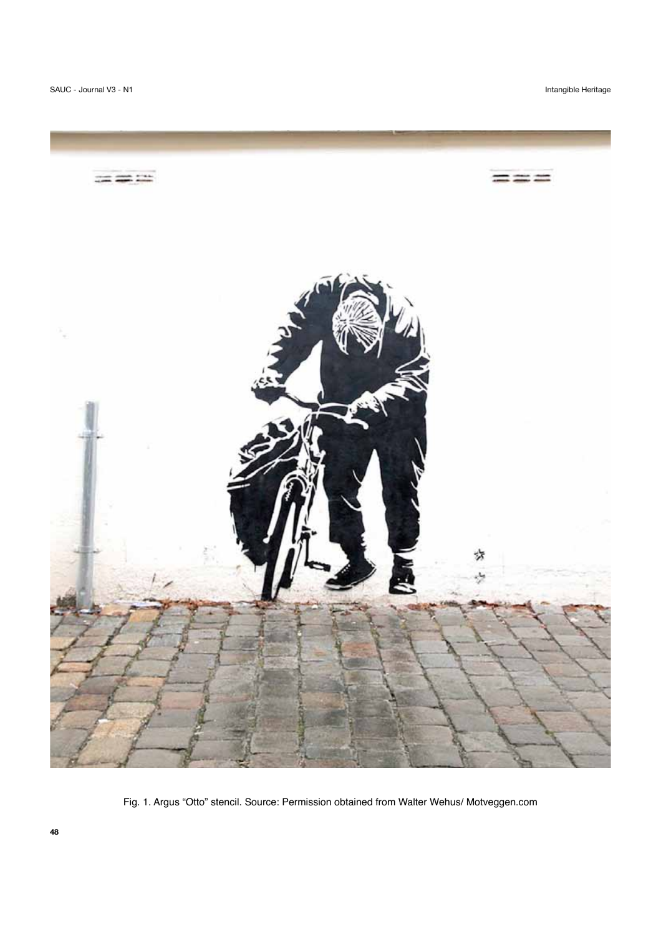Intangible Heritage



Fig. 1. Argus "Otto" stencil. Source: Permission obtained from Walter Wehus/ Motveggen.com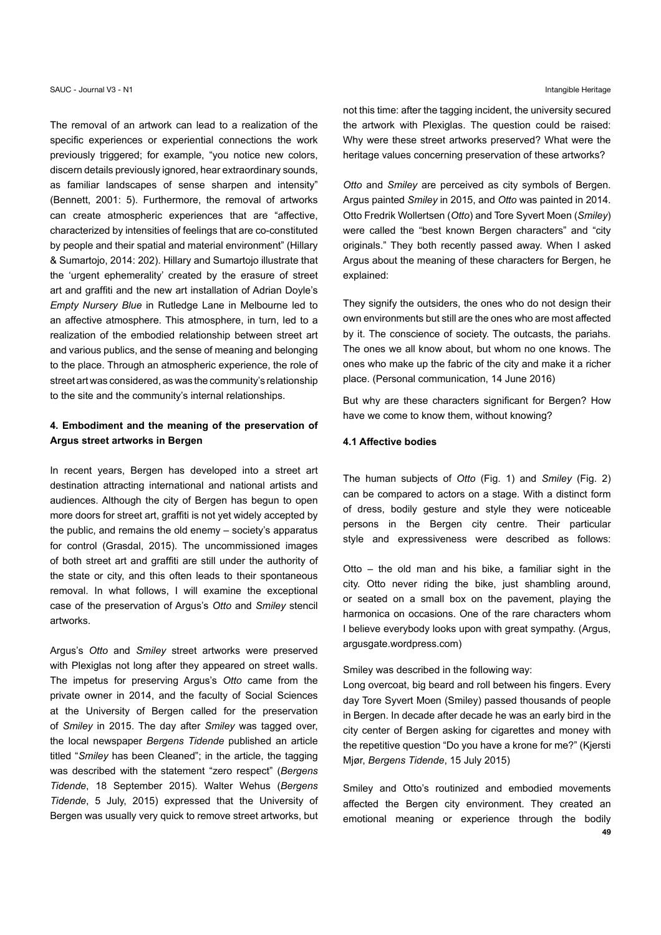The removal of an artwork can lead to a realization of the specific experiences or experiential connections the work previously triggered; for example, "you notice new colors, discern details previously ignored, hear extraordinary sounds, as familiar landscapes of sense sharpen and intensity" (Bennett, 2001: 5). Furthermore, the removal of artworks can create atmospheric experiences that are "affective, characterized by intensities of feelings that are co-constituted by people and their spatial and material environment" (Hillary & Sumartojo, 2014: 202). Hillary and Sumartojo illustrate that the 'urgent ephemerality' created by the erasure of street art and graffiti and the new art installation of Adrian Doyle's Empty Nursery Blue in Rutledge Lane in Melbourne led to an affective atmosphere. This atmosphere, in turn, led to a realization of the embodied relationship between street art and various publics, and the sense of meaning and belonging to the place. Through an atmospheric experience, the role of street art was considered, as was the community's relationship to the site and the community's internal relationships.

# 4. Embodiment and the meaning of the preservation of Argus street artworks in Bergen

In recent years, Bergen has developed into a street art destination attracting international and national artists and audiences. Although the city of Bergen has begun to open more doors for street art, graffiti is not yet widely accepted by the public, and remains the old enemy - society's apparatus for control (Grasdal, 2015). The uncommissioned images of both street art and graffiti are still under the authority of the state or city, and this often leads to their spontaneous removal. In what follows, I will examine the exceptional case of the preservation of Argus's Otto and Smiley stencil artworks.

Argus's Otto and Smiley street artworks were preserved with Plexiglas not long after they appeared on street walls. The impetus for preserving Argus's Otto came from the private owner in 2014, and the faculty of Social Sciences at the University of Bergen called for the preservation of Smiley in 2015. The day after Smiley was tagged over, the local newspaper Bergens Tidende published an article titled "Smiley has been Cleaned"; in the article, the tagging was described with the statement "zero respect" (Bergens Tidende, 18 September 2015). Walter Wehus (Bergens Tidende, 5 July, 2015) expressed that the University of Bergen was usually very quick to remove street artworks, but not this time: after the tagging incident, the university secured the artwork with Plexiglas. The question could be raised: Why were these street artworks preserved? What were the heritage values concerning preservation of these artworks?

Otto and Smiley are perceived as city symbols of Bergen. Argus painted Smiley in 2015, and Otto was painted in 2014. Otto Fredrik Wollertsen (Otto) and Tore Syvert Moen (Smiley) were called the "best known Bergen characters" and "city originals." They both recently passed away. When I asked Argus about the meaning of these characters for Bergen, he explained:

They signify the outsiders, the ones who do not design their own environments but still are the ones who are most affected by it. The conscience of society. The outcasts, the pariahs. The ones we all know about, but whom no one knows. The ones who make up the fabric of the city and make it a richer place. (Personal communication, 14 June 2016)

But why are these characters significant for Bergen? How have we come to know them, without knowing?

## 4.1 Affective bodies

The human subjects of Otto (Fig. 1) and Smiley (Fig. 2) can be compared to actors on a stage. With a distinct form of dress, bodily gesture and style they were noticeable persons in the Bergen city centre. Their particular style and expressiveness were described as follows:

Otto – the old man and his bike, a familiar sight in the city. Otto never riding the bike, just shambling around, or seated on a small box on the pavement, playing the harmonica on occasions. One of the rare characters whom I believe everybody looks upon with great sympathy. (Argus, argusgate.wordpress.com)

Smiley was described in the following way:

Long overcoat, big beard and roll between his fingers. Every day Tore Syvert Moen (Smiley) passed thousands of people in Bergen. In decade after decade he was an early bird in the city center of Bergen asking for cigarettes and money with the repetitive question "Do you have a krone for me?" (Kiersti Miør. Bergens Tidende. 15 July 2015)

Smiley and Otto's routinized and embodied movements affected the Bergen city environment. They created an emotional meaning or experience through the bodily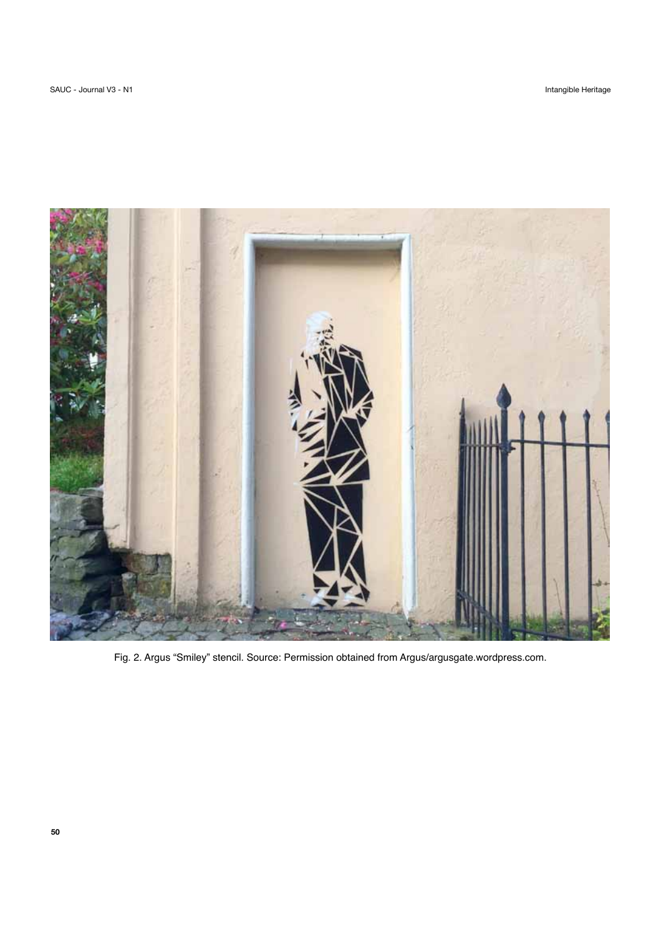

Fig. 2. Argus "Smiley" stencil. Source: Permission obtained from Argus/argusgate.wordpress.com.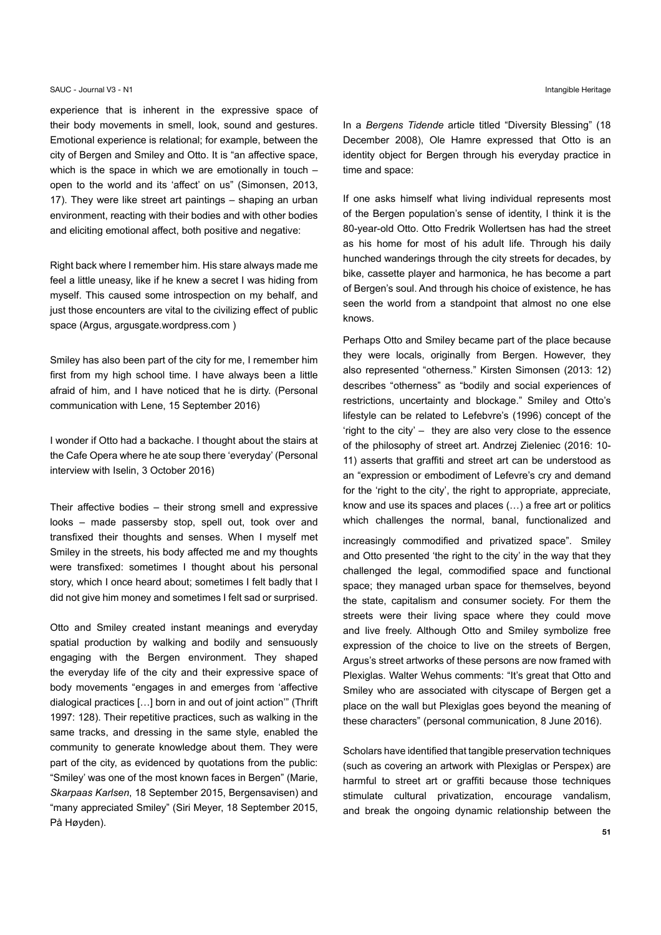experience that is inherent in the expressive space of their body movements in smell, look, sound and gestures. Emotional experience is relational; for example, between the city of Bergen and Smiley and Otto. It is "an affective space, which is the space in which we are emotionally in touch  $$ open to the world and its 'affect' on us" (Simonsen, 2013, 17). They were like street art paintings - shaping an urban environment, reacting with their bodies and with other bodies and eliciting emotional affect, both positive and negative:

Right back where I remember him. His stare always made me feel a little uneasy, like if he knew a secret I was hiding from myself. This caused some introspection on my behalf, and just those encounters are vital to the civilizing effect of public space (Argus, argusgate.wordpress.com)

Smiley has also been part of the city for me, I remember him first from my high school time. I have always been a little afraid of him, and I have noticed that he is dirty. (Personal communication with Lene. 15 September 2016)

I wonder if Otto had a backache. I thought about the stairs at the Cafe Opera where he ate soup there 'everyday' (Personal interview with Iselin, 3 October 2016)

Their affective bodies – their strong smell and expressive looks - made passersby stop, spell out, took over and transfixed their thoughts and senses. When I myself met Smiley in the streets, his body affected me and my thoughts were transfixed: sometimes I thought about his personal story, which I once heard about; sometimes I felt badly that I did not give him money and sometimes I felt sad or surprised.

Otto and Smiley created instant meanings and everyday spatial production by walking and bodily and sensuously engaging with the Bergen environment. They shaped the everyday life of the city and their expressive space of body movements "engages in and emerges from 'affective dialogical practices [...] born in and out of joint action" (Thrift 1997: 128). Their repetitive practices, such as walking in the same tracks, and dressing in the same style, enabled the community to generate knowledge about them. They were part of the city, as evidenced by quotations from the public: "Smiley' was one of the most known faces in Bergen" (Marie, Skarpaas Karlsen, 18 September 2015, Bergensavisen) and "many appreciated Smiley" (Siri Meyer, 18 September 2015, På Høvden).

In a Bergens Tidende article titled "Diversity Blessing" (18 December 2008), Ole Hamre expressed that Otto is an identity object for Bergen through his everyday practice in time and space:

If one asks himself what living individual represents most of the Bergen population's sense of identity, I think it is the 80-year-old Otto. Otto Fredrik Wollertsen has had the street as his home for most of his adult life. Through his daily hunched wanderings through the city streets for decades, by bike, cassette player and harmonica, he has become a part of Bergen's soul. And through his choice of existence, he has seen the world from a standpoint that almost no one else knows.

Perhaps Otto and Smiley became part of the place because they were locals, originally from Bergen. However, they also represented "otherness." Kirsten Simonsen (2013: 12) describes "otherness" as "bodily and social experiences of restrictions, uncertainty and blockage." Smiley and Otto's lifestyle can be related to Lefebvre's (1996) concept of the 'right to the city' - they are also very close to the essence of the philosophy of street art. Andrzei Zieleniec (2016: 10-11) asserts that graffiti and street art can be understood as an "expression or embodiment of Lefevre's cry and demand for the 'right to the city', the right to appropriate, appreciate, know and use its spaces and places (...) a free art or politics which challenges the normal, banal, functionalized and increasingly commodified and privatized space". Smiley and Otto presented 'the right to the city' in the way that they challenged the legal, commodified space and functional space; they managed urban space for themselves, beyond the state, capitalism and consumer society. For them the streets were their living space where they could move and live freely. Although Otto and Smiley symbolize free expression of the choice to live on the streets of Bergen, Argus's street artworks of these persons are now framed with Plexiglas. Walter Wehus comments: "It's great that Otto and Smiley who are associated with cityscape of Bergen get a place on the wall but Plexiglas goes beyond the meaning of

Scholars have identified that tangible preservation techniques (such as covering an artwork with Plexiglas or Perspex) are harmful to street art or graffiti because those techniques stimulate cultural privatization, encourage vandalism, and break the ongoing dynamic relationship between the

these characters" (personal communication, 8 June 2016).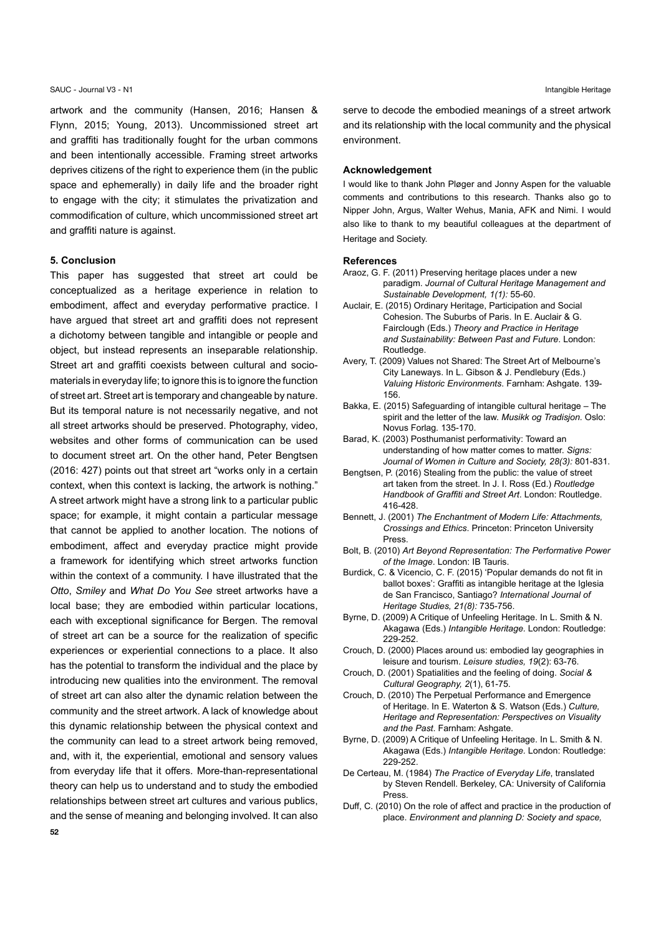artwork and the community (Hansen, 2016; Hansen & Flynn, 2015; Young, 2013). Uncommissioned street art and graffiti has traditionally fought for the urban commons and been intentionally accessible. Framing street artworks deprives citizens of the right to experience them (in the public space and ephemerally) in daily life and the broader right to engage with the city; it stimulates the privatization and commodification of culture, which uncommissioned street art and graffiti nature is against.

# 5. Conclusion

This paper has suggested that street art could be conceptualized as a heritage experience in relation to embodiment, affect and everyday performative practice. I have argued that street art and graffiti does not represent a dichotomy between tangible and intangible or people and object, but instead represents an inseparable relationship. Street art and graffiti coexists between cultural and sociomaterials in everyday life; to ignore this is to ignore the function of street art. Street art is temporary and changeable by nature. But its temporal nature is not necessarily negative, and not all street artworks should be preserved. Photography, video, websites and other forms of communication can be used to document street art. On the other hand, Peter Bengtsen (2016: 427) points out that street art "works only in a certain context, when this context is lacking, the artwork is nothing." A street artwork might have a strong link to a particular public space; for example, it might contain a particular message that cannot be applied to another location. The notions of embodiment, affect and everyday practice might provide a framework for identifying which street artworks function within the context of a community. I have illustrated that the Otto, Smiley and What Do You See street artworks have a local base; they are embodied within particular locations, each with exceptional significance for Bergen. The removal of street art can be a source for the realization of specific experiences or experiential connections to a place. It also has the potential to transform the individual and the place by introducing new qualities into the environment. The removal of street art can also alter the dynamic relation between the community and the street artwork. A lack of knowledge about this dynamic relationship between the physical context and the community can lead to a street artwork being removed, and, with it, the experiential, emotional and sensory values from everyday life that it offers. More-than-representational theory can help us to understand and to study the embodied relationships between street art cultures and various publics, and the sense of meaning and belonging involved. It can also

serve to decode the embodied meanings of a street artwork and its relationship with the local community and the physical environment.

#### Acknowledgement

I would like to thank John Pløger and Jonny Aspen for the valuable comments and contributions to this research. Thanks also go to Nipper John, Argus, Walter Wehus, Mania, AFK and Nimi. I would also like to thank to my beautiful colleagues at the department of Heritage and Society.

#### **References**

- Araoz, G. F. (2011) Preserving heritage places under a new paradigm. Journal of Cultural Heritage Management and Sustainable Development, 1(1): 55-60.
- Auclair, E. (2015) Ordinary Heritage, Participation and Social Cohesion. The Suburbs of Paris. In E. Auclair & G. Fairclough (Eds.) Theory and Practice in Heritage and Sustainability: Between Past and Future. London: Routledge
- Avery, T. (2009) Values not Shared: The Street Art of Melbourne's City Laneways. In L. Gibson & J. Pendlebury (Eds.) Valuing Historic Environments. Farnham: Ashgate. 139-156
- Bakka, E. (2015) Safeguarding of intangible cultural heritage The spirit and the letter of the law. Musikk og Tradisjon. Oslo: Novus Forlag. 135-170.
- Barad, K. (2003) Posthumanist performativity: Toward an understanding of how matter comes to matter. Signs: Journal of Women in Culture and Society, 28(3): 801-831.
- Bengtsen, P. (2016) Stealing from the public: the value of street art taken from the street. In J. I. Ross (Ed.) Routledge Handbook of Graffiti and Street Art. London: Routledge. 416-428
- Bennett, J. (2001) The Enchantment of Modern Life: Attachments, Crossings and Ethics. Princeton: Princeton University Press.
- Bolt, B. (2010) Art Beyond Representation: The Performative Power of the Image. London: IB Tauris.
- Burdick, C. & Vicencio, C. F. (2015) 'Popular demands do not fit in ballot boxes': Graffiti as intangible heritage at the Iglesia de San Francisco, Santiago? International Journal of Heritage Studies, 21(8): 735-756.
- Byrne, D. (2009) A Critique of Unfeeling Heritage. In L. Smith & N. Akagawa (Eds.) Intangible Heritage. London: Routledge: 229-252.
- Crouch, D. (2000) Places around us: embodied lay geographies in leisure and tourism. Leisure studies, 19(2): 63-76.
- Crouch, D. (2001) Spatialities and the feeling of doing. Social & Cultural Geography, 2(1), 61-75.
- Crouch, D. (2010) The Perpetual Performance and Emergence of Heritage. In E. Waterton & S. Watson (Eds.) Culture, Heritage and Representation: Perspectives on Visuality and the Past. Farnham: Ashgate.
- Byrne, D. (2009) A Critique of Unfeeling Heritage. In L. Smith & N. Akagawa (Eds.) Intangible Heritage. London: Routledge: 229-252.
- De Certeau, M. (1984) The Practice of Everyday Life, translated by Steven Rendell. Berkeley, CA: University of California Press.
- Duff, C. (2010) On the role of affect and practice in the production of place. Environment and planning D: Society and space,